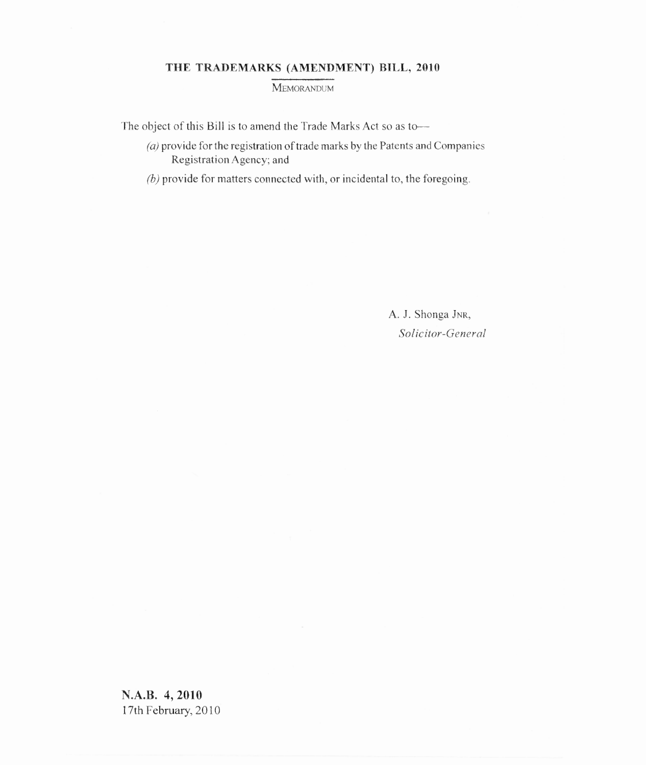# **THE TRADEMARKS (AMENDMENT) BILL, 2010**

MEMORANDUM

The object of this Bill is to amend the Trade Marks Act so as to—

- $(a)$  provide for the registration of trade marks by the Patents and Companies Registration Agency; and
- $(b)$  provide for matters connected with, or incidental to, the foregoing.

A. J. Shonga JNR, *Solicitor-General*

**N.A.B. 4, 2010** 17th February, 2010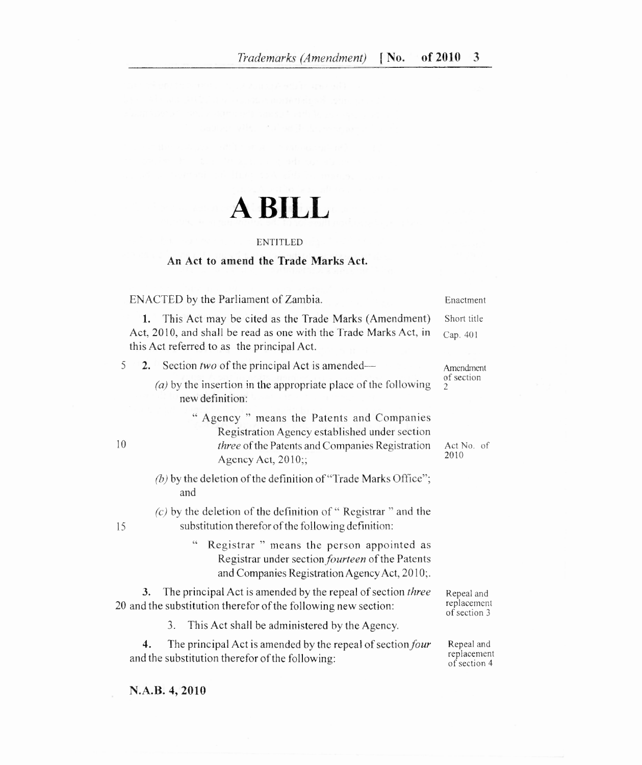# **A BILL**

#### ENTITLED

## **An Act to amend the Trade Marks Act.**

ENACTED by the Parliament of Zambia.

#### 1. This Act may be cited as the Trade Marks (Amendment) Act, 2010, and shall be read as one with the Trade Marks Act, in this Act referred to as the principal Act. Cap. 401

- 5 2. Section *two* of the principal Act is amended—
	- $(a)$  by the insertion in the appropriate place of the following new definition:
- " Agency " means the Patents and Companies Registration Agency established under section 10 *three* of the Patents and Companies Registration Act No. of 2010 Agency Act, 2010;;
	- $(b)$  by the deletion of the definition of "Trade Marks Office"; and

*(c)* by the deletion of the definition of " Registrar " and the 15 substitution therefor of the following definition:

> " Registrar " means the person appointed as Registrar under section *fourteen* of the Patents and Companies Registration Agency Act, 2010;.

The principal Act is amended by the repeal of section *three* 20 and the substitution therefor of the following new section:

Repeal and

3. This Act shall be administered by the Agency.

 $4.$ The principal Act is amended by the repeal of section four and the substitution therefor of the following:

replacement of section 3

Enactment Short title

Amendment of section 2

Repeal and replacement of section 4

**N.A.B. 4, 2010**